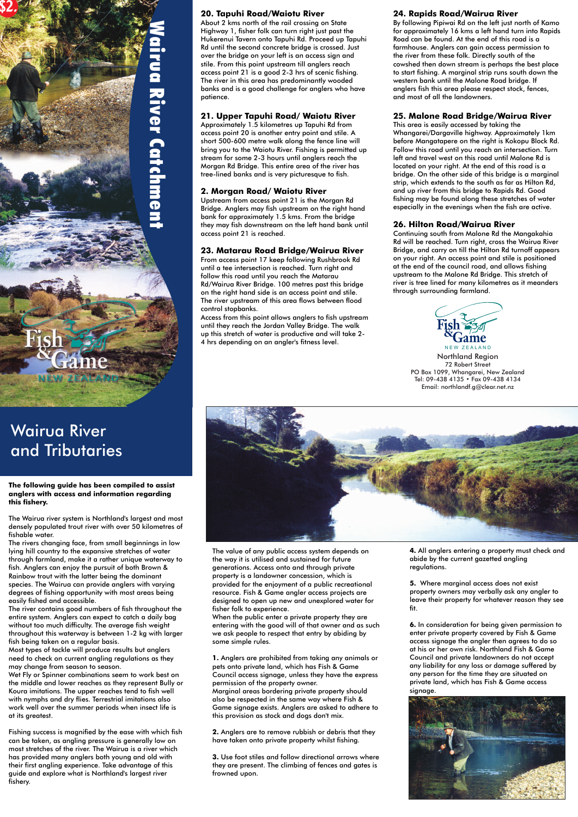## **The following guide has been compiled to assist anglers with access and information regarding this fishery.**

The rivers changing face, from small beginnings in low lying hill country to the expansive stretches of water The value of any public access system depends on **4.** All anglers entering a property must check and through farmland, make it a rather unique waterway to the way it i through farmland, make it a rather unique waterway to the way it is utilised and sustained for future fish. Anglers can enjoy the pursuit of both Brown & generations. Access onto and through private regulations. Rainbow trout with the latter being the dominant entity property is a landowner concession, which is species. The Wairua can provide anglers with varying provided for the enjoyment of a public recreational **5.** Where marginal access does not exist degrees of fishing opportunity with most areas being resource. Fish & Game angler access projects are resourch<br>easily fished and accessible. https://with.most.areas.being/with.most areas being any angler to open up new and easily fished and accessible.  $\qquad \qquad \qquad$  designed to open up new and unexplored water for

The Wairua river system is Northland's largest and most densely populated trout river with over 50 kilometres of fishable water.

The river contains good numbers of fish throughout the fisher folk to experience. entire system. Anglers can expect to catch a daily bag When the public enter a private property they are without too much difficulty. The average fish weight entering with the good will of that owner and as such **6.** In consideration for being given permission to throughout this waterway is between 1-2 kg with larger we ask people to respect that entry by abiding by enter private property covered by Fish & Game fish being taken on a regular basis. This is a come simple rules. This may be a recess signage the angler then agrees to do so<br>Most types of tackle will produce results but analers and the some simple rules. This or head o Most types of tackle will produce results but anglers and the state of tackle of tackle will produce results but anglers at his or her own risk. Northland Fish & Game (1.4 med to check on current analing requlations as the need to check on current angling regulations as they **1.** Anglers are prohibited from taking any animals or Council and private landowners do not accept may change from season to season. pets onto private land, which has Fish & Game any liability for any loss or damage suffered and any change suffered by the filme they are situated on any person for the time they are situa Wet Fly or Spinner combinations seem to work best on Council access signage, unless they have the express any person for the time they are situated on<br>The middle and lower reaches as they represent Bully or permission of t the middle and lower reaches as they represent Bully or permission of the property owner. Koura imitations. The upper reaches tend to fish well Marginal areas bordering private property should signage. with nymphs and dry flies. Terrestrial imitations also also be respected in the same way where Fish & work well over the summer periods when insect life is Game signage exists. Anglers are asked to adhere to at its greatest. this provision as stock and dogs don't mix.

## W a i r **C** a R i v e r  $\bigcap$ a t  $\blacksquare$  $\overline{\phantom{a}}$

 $\blacksquare$ e  $\overline{\phantom{a}}$ t

Approximately 1.5 kilometres up Tapuhi Rd from This area is easily accessed by taking the access point 20 is another entry point and stile. A Whangarei/Dargaville highway. Approximately 1km short 500-600 metre walk along the fence line will before Mangatapere on the right is Kokopu Block Rd. bring you to the Waiotu River. Fishing is permitted up Follow this road until you reach an intersection. Turn stream for some 2-3 hours until anglers reach the left and travel west on this road until Malone Rd is Morgan Rd Bridge. This entire area of the river has located on your right. At the end of this road is a

tree-lined banks and is very picturesque to fish. bridge. On the other side of this bridge is a marginal strip, which extends to the south as far as Hilton Rd, **2. Morgan Road/ Waiotu River** and up river from this bridge to Rapids Rd. Good<br>Upstream from access point 21 is the Morgan Rd fishing may be found along these stretches of water

Upstream from access point 21 is the Morgan Rd fishing may be found along these stretches of wate<br>Bridge, Anglers may fish upstream on the right hand especially in the evenings when the fish are active. Bridge. Anglers may fish upstream on the right hand bank for approximately 1.5 kms. From the bridge they may fish downstream on the left hand bank until **26. Hilton Road/Wairua River** access point 21 is reached. Continuing south from Malone Rd the Mangakahia

Rd will be reached. Turn right, cross the Wairua River **23. Matarau Road Bridge/Wairua River** Bridge, and carry on till the Hilton Rd turnoff appears<br>From access point 17 keep following Rushbrook Rd on your right. An access point and stile is positioned follow this road until you reach the Matarau end are suppost the Malone Range. This stretch of follow this road<br>Rd/Wairua River Bridge, 100 metres past this bridge entire is tree lined for many kilometres as it meanders

Fishing success is magnified by the ease with which fish **2.** Anglers are to remove rubbish or debris that they can be taken, as angling pressure is generally low on have taken onto private property whilst fishing. most stretches of the river. The Wairua is a river which has provided many anglers both young and old with **3.** Use foot stiles and follow directional arrows where their first angling experience. Take advantage of this they are present. The climbing of fences and gates is guide and explore what is Northland's largest river frowned upon. fishery.



From access point 17 keep following Rushbrook Rdheem on your right. An access point and stile is position<br>until a tee intersection is reached. Turn right and heem at the end of the council road, and allows fishing until a tee intersection is reached. Turn right and and at the end of the council road, and allows fishing<br>follow this road until you reach the Matarau support and a system to the Malone Rd Bridge. This stretch of Rd/Wairua River Bridge. 100 metres past this bridge river is tree lined for many kilom<br>on the right hand side is an access point and stile. Through surrounding farmland. on the right hand side is an access point and stile. The river upstream of this area flows between flood control stopbanks.



# Wairua River and Tributaries

Northland Region 72 Robert Street PO Box 1099, Whangarei, New Zealand Tel: 09-438 4135 • Fax 09-438 4134 Email: northlandf.g@clear.net.nz



## **20. Tapuhi Road/Waiotu River 24. Rapids Road/Wairua River**

About 2 kms north of the rail crossing on State By following Pipiwai Rd on the left just north of Kamo Hukerenui Tavern onto Tapuhi Rd. Proceed up Tapuhi Road can be found. At the end of this road is a Rd until the second concrete bridge is crossed. Just farmhouse. Anglers can gain access permission to over the bridge on your left is an access sign and the river from these folk. Directly south of the stile. From this point upstream till anglers reach cowshed then down stream is perhaps the best place access point 21 is a good 2-3 hrs of scenic fishing. the start fishing. A marginal strip runs south down the The river in this area has predominantly wooded western bank until the Malone Road bridge. If banks and is a good challenge for anglers who have anglers fish this area please respect stock, fences, patience. **and most of all the landowners.** And most of all the landowners.

## **21. Upper Tapuhi Road/ Waiotu River 25. Malone Road Bridge/Wairua River**

Access from this point allows anglers to fish upstream until they reach the Jordan Valley Bridge. The walk up this stretch of water is productive and will take 2- 4 hrs depending on an angler's fitness level.

Highway 1, fisher folk can turn right just past the for approximately 16 kms a left hand turn into Rapids

**\$2.**